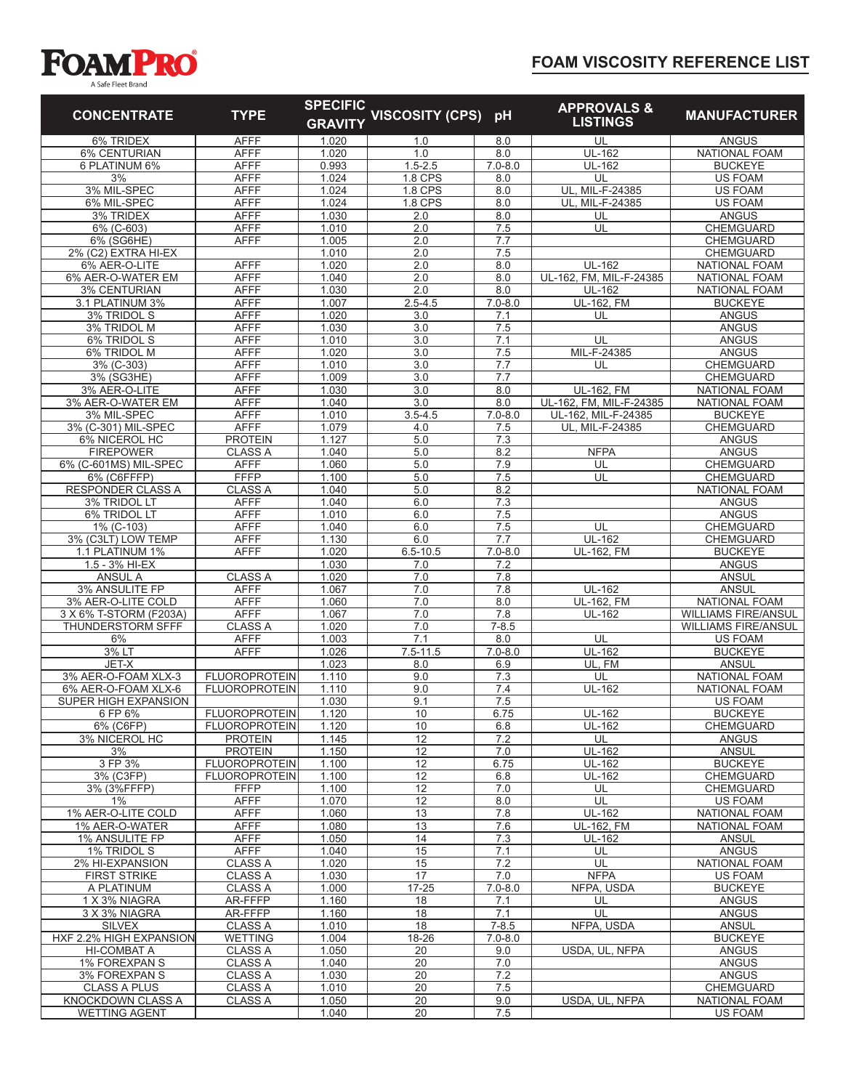## **FOAM VISCOSITY REFERENCE LIST**



| A Jale Fieet Dialiu                           |                                              |                                   |                             |                    |                                           |                                        |
|-----------------------------------------------|----------------------------------------------|-----------------------------------|-----------------------------|--------------------|-------------------------------------------|----------------------------------------|
| <b>CONCENTRATE</b>                            | <b>TYPE</b>                                  | <b>SPECIFIC</b><br><b>GRAVITY</b> | <b>VISCOSITY (CPS)</b>      | pH                 | <b>APPROVALS &amp;</b><br><b>LISTINGS</b> | <b>MANUFACTURER</b>                    |
| 6% TRIDEX                                     | <b>AFFF</b>                                  | 1.020                             | 1.0                         | 8.0                | UL                                        | <b>ANGUS</b>                           |
| <b>6% CENTURIAN</b>                           | <b>AFFF</b>                                  | 1.020                             | 1.0                         | 8.0                | <b>UL-162</b>                             | <b>NATIONAL FOAM</b>                   |
| 6 PLATINUM 6%                                 | <b>AFFF</b>                                  | 0.993                             | $1.5 - 2.5$                 | $7.0 - 8.0$        | UL-162                                    | <b>BUCKEYE</b>                         |
| 3%                                            | <b>AFFF</b>                                  | 1.024                             | <b>1.8 CPS</b>              | 8.0                | UL                                        | <b>US FOAM</b>                         |
| 3% MIL-SPEC<br>6% MIL-SPEC                    | <b>AFFF</b><br><b>AFFF</b>                   | 1.024<br>1.024                    | <b>1.8 CPS</b><br>$1.8$ CPS | 8.0<br>8.0         | UL, MIL-F-24385<br>UL, MIL-F-24385        | <b>US FOAM</b><br><b>US FOAM</b>       |
| 3% TRIDEX                                     | <b>AFFF</b>                                  | 1.030                             | 2.0                         | 8.0                | UL                                        | <b>ANGUS</b>                           |
| 6% (C-603)                                    | <b>AFFF</b>                                  | 1.010                             | 2.0                         | 7.5                | UL                                        | CHEMGUARD                              |
| 6% (SG6HE)                                    | <b>AFFF</b>                                  | 1.005                             | 2.0                         | 7.7                |                                           | CHEMGUARD                              |
| 2% (C2) EXTRA HI-EX                           |                                              | 1.010                             | 2.0                         | 7.5                |                                           | CHEMGUARD                              |
| 6% AER-O-LITE                                 | <b>AFFF</b>                                  | 1.020                             | 2.0                         | 8.0                | <b>UL-162</b>                             | <b>NATIONAL FOAM</b>                   |
| 6% AER-O-WATER EM                             | <b>AFFF</b>                                  | 1.040                             | 2.0                         | 8.0                | UL-162, FM, MIL-F-24385                   | <b>NATIONAL FOAM</b>                   |
| <b>3% CENTURIAN</b>                           | <b>AFFF</b>                                  | 1.030                             | 2.0                         | 8.0                | <b>UL-162</b>                             | <b>NATIONAL FOAM</b>                   |
| 3.1 PLATINUM 3%                               | <b>AFFF</b>                                  | 1.007                             | $2.5 - 4.5$                 | $7.0 - 8.0$        | UL-162, FM                                | <b>BUCKEYE</b>                         |
| 3% TRIDOL S<br>3% TRIDOL M                    | <b>AFFF</b><br><b>AFFF</b>                   | 1.020<br>1.030                    | 3.0<br>3.0                  | 7.1<br>7.5         | UL                                        | <b>ANGUS</b><br><b>ANGUS</b>           |
| 6% TRIDOL S                                   | <b>AFFF</b>                                  | 1.010                             | 3.0                         | 7.1                | UL                                        | <b>ANGUS</b>                           |
| 6% TRIDOL M                                   | <b>AFFF</b>                                  | 1.020                             | 3.0                         | 7.5                | MIL-F-24385                               | <b>ANGUS</b>                           |
| 3% (C-303)                                    | <b>AFFF</b>                                  | 1.010                             | 3.0                         | 7.7                | UL                                        | CHEMGUARD                              |
| 3% (SG3HE)                                    | <b>AFFF</b>                                  | 1.009                             | 3.0                         | 7.7                |                                           | <b>CHEMGUARD</b>                       |
| 3% AER-O-LITE                                 | <b>AFFF</b>                                  | 1.030                             | 3.0                         | 8.0                | <b>UL-162, FM</b>                         | <b>NATIONAL FOAM</b>                   |
| 3% AER-O-WATER EM                             | <b>AFFF</b>                                  | 1.040                             | $\overline{3.0}$            | 8.0                | UL-162, FM, MIL-F-24385                   | <b>NATIONAL FOAM</b>                   |
| 3% MIL-SPEC                                   | <b>AFFF</b>                                  | 1.010                             | $3.5 - 4.5$                 | $7.0 - 8.0$        | UL-162, MIL-F-24385                       | <b>BUCKEYE</b>                         |
| 3% (C-301) MIL-SPEC                           | <b>AFFF</b>                                  | 1.079                             | 4.0                         | 7.5                | UL, MIL-F-24385                           | CHEMGUARD                              |
| 6% NICEROL HC<br><b>FIREPOWER</b>             | <b>PROTEIN</b><br><b>CLASS A</b>             | 1.127<br>1.040                    | 5.0<br>5.0                  | 7.3<br>8.2         | <b>NFPA</b>                               | <b>ANGUS</b><br><b>ANGUS</b>           |
| 6% (C-601MS) MIL-SPEC                         | <b>AFFF</b>                                  | 1.060                             | 5.0                         | 7.9                | UL                                        | <b>CHEMGUARD</b>                       |
| 6% (C6FFFP)                                   | <b>FFFP</b>                                  | 1.100                             | 5.0                         | 7.5                | UL                                        | CHEMGUARD                              |
| <b>RESPONDER CLASS A</b>                      | <b>CLASS A</b>                               | 1.040                             | 5.0                         | 8.2                |                                           | <b>NATIONAL FOAM</b>                   |
| 3% TRIDOL LT                                  | <b>AFFF</b>                                  | 1.040                             | 6.0                         | 7.3                |                                           | <b>ANGUS</b>                           |
| 6% TRIDOL LT                                  | <b>AFFF</b>                                  | 1.010                             | 6.0                         | 7.5                |                                           | <b>ANGUS</b>                           |
| 1% (C-103)                                    | <b>AFFF</b>                                  | 1.040                             | 6.0                         | 7.5                | UL                                        | CHEMGUARD                              |
| 3% (C3LT) LOW TEMP                            | <b>AFFF</b>                                  | 1.130                             | 6.0                         | 7.7                | UL-162                                    | CHEMGUARD                              |
| 1.1 PLATINUM 1%<br>1.5 - 3% HI-EX             | <b>AFFF</b>                                  | 1.020                             | $6.5 - 10.5$<br>7.0         | $7.0 - 8.0$<br>7.2 | <b>UL-162, FM</b>                         | <b>BUCKEYE</b><br><b>ANGUS</b>         |
| <b>ANSUL A</b>                                | <b>CLASS A</b>                               | 1.030<br>1.020                    | 7.0                         | 7.8                |                                           | <b>ANSUL</b>                           |
| 3% ANSULITE FP                                | <b>AFFF</b>                                  | 1.067                             | 7.0                         | 7.8                | UL-162                                    | <b>ANSUL</b>                           |
| 3% AER-O-LITE COLD                            | <b>AFFF</b>                                  | 1.060                             | 7.0                         | 8.0                | <b>UL-162, FM</b>                         | NATIONAL FOAM                          |
| 3 X 6% T-STORM (F203A)                        | <b>AFFF</b>                                  | 1.067                             | 7.0                         | 7.8                | <b>UL-162</b>                             | <b>WILLIAMS FIRE/ANSUL</b>             |
| THUNDERSTORM SFFF                             | <b>CLASS A</b>                               | 1.020                             | 7.0                         | $7 - 8.5$          |                                           | <b>WILLIAMS FIRE/ANSUL</b>             |
| 6%                                            | <b>AFFF</b>                                  | 1.003                             | 7.1                         | 8.0                | UL                                        | <b>US FOAM</b>                         |
| 3% LT                                         | <b>AFFF</b>                                  | 1.026                             | $7.5 - 11.5$                | $7.0 - 8.0$        | UL-162                                    | <b>BUCKEYE</b>                         |
| JET-X                                         |                                              | 1.023                             | 8.0                         | 6.9                | UL, FM                                    | <b>ANSUL</b>                           |
| 3% AER-O-FOAM XLX-3<br>6% AER-O-FOAM XLX-6    | <b>FLUOROPROTEIN</b><br><b>FLUOROPROTEIN</b> | 1.110<br>1.110                    | 9.0<br>9.0                  | 7.3<br>7.4         | UL<br>UL-162                              | NATIONAL FOAM<br>NATIONAL FOAM         |
| SUPER HIGH EXPANSION                          |                                              | 1.030                             | 9.1                         | 7.5                |                                           | US FOAM                                |
| 6 FP 6%                                       | <b>FLUOROPROTEIN</b>                         | 1.120                             | 10                          | 6.75               | <b>UL-162</b>                             | <b>BUCKEYE</b>                         |
| 6% (C6FP)                                     | <b>FLUOROPROTEIN</b>                         | 1.120                             | 10                          | 6.8                | UL-162                                    | <b>CHEMGUARD</b>                       |
| 3% NICEROL HC                                 | <b>PROTEIN</b>                               | 1.145                             | 12                          | 7.2                | UL                                        | <b>ANGUS</b>                           |
| 3%                                            | <b>PROTEIN</b>                               | 1.150                             | 12                          | 7.0                | UL-162                                    | <b>ANSUL</b>                           |
| 3 FP 3%                                       | <b>FLUOROPROTEIN</b>                         | 1.100                             | 12                          | 6.75               | UL-162                                    | <b>BUCKEYE</b>                         |
| 3% (C3FP)                                     | <b>FLUOROPROTEIN</b>                         | 1.100                             | 12                          | 6.8                | UL-162                                    | <b>CHEMGUARD</b>                       |
| 3% (3%FFFP)                                   | <b>FFFP</b>                                  | 1.100                             | 12                          | 7.0                | UL                                        | CHEMGUARD                              |
| $1\%$<br>1% AER-O-LITE COLD                   | <b>AFFF</b>                                  | 1.070                             | 12<br>13                    | 8.0<br>7.8         | UL                                        | <b>US FOAM</b><br><b>NATIONAL FOAM</b> |
| 1% AER-O-WATER                                | AFFF<br><b>AFFF</b>                          | 1.060<br>1.080                    | 13                          | 7.6                | UL-162<br><b>UL-162, FM</b>               | NATIONAL FOAM                          |
| 1% ANSULITE FP                                | <b>AFFF</b>                                  | 1.050                             | 14                          | 7.3                | UL-162                                    | <b>ANSUL</b>                           |
| 1% TRIDOL S                                   | <b>AFFF</b>                                  | 1.040                             | 15                          | 7.1                | UL                                        | <b>ANGUS</b>                           |
| 2% HI-EXPANSION                               | <b>CLASS A</b>                               | 1.020                             | 15                          | 7.2                | UL                                        | <b>NATIONAL FOAM</b>                   |
| <b>FIRST STRIKE</b>                           | <b>CLASS A</b>                               | 1.030                             | 17                          | 7.0                | <b>NFPA</b>                               | <b>US FOAM</b>                         |
| A PLATINUM                                    | <b>CLASS A</b>                               | 1.000                             | $17 - 25$                   | $7.0 - 8.0$        | NFPA, USDA                                | <b>BUCKEYE</b>                         |
| 1 X 3% NIAGRA                                 | AR-FFFP                                      | 1.160                             | 18                          | 7.1                | UL                                        | <b>ANGUS</b>                           |
| 3 X 3% NIAGRA                                 | AR-FFFP                                      | 1.160                             | 18                          | 7.1                | UL                                        | <b>ANGUS</b>                           |
| <b>SILVEX</b>                                 | <b>CLASS A</b>                               | 1.010                             | 18                          | $7 - 8.5$          | NFPA, USDA                                | ANSUL                                  |
| HXF 2.2% HIGH EXPANSION<br><b>HI-COMBAT A</b> | WETTING<br><b>CLASS A</b>                    | 1.004<br>1.050                    | 18-26<br>20                 | $7.0 - 8.0$<br>9.0 | USDA, UL, NFPA                            | <b>BUCKEYE</b><br><b>ANGUS</b>         |
| 1% FOREXPAN S                                 | <b>CLASS A</b>                               | 1.040                             | 20                          | 7.0                |                                           | <b>ANGUS</b>                           |
|                                               |                                              |                                   |                             |                    |                                           |                                        |

3% FOREXPAN S CLASS A 1.030 20 7.2 ANGUS<br>CLASS A PLUS CLASS A 1.010 20 7.5 CHEMGUARD<br>OCKDOWN CLASS A CLASS A 1.050 20 9.0 USDA, UL, NFPA NATIONAL FOA CLASS A PLUS | CLASS A | 1.010 | 20 | 7.5 | CHEMGUARD KNOCKDOWN CLASS A CLASS A 1.050 20 9.0 USDA, UL, NFPA NATIONAL FOAM WETTING AGENT | 1.040 | 20 | 7.5 | US FOAM